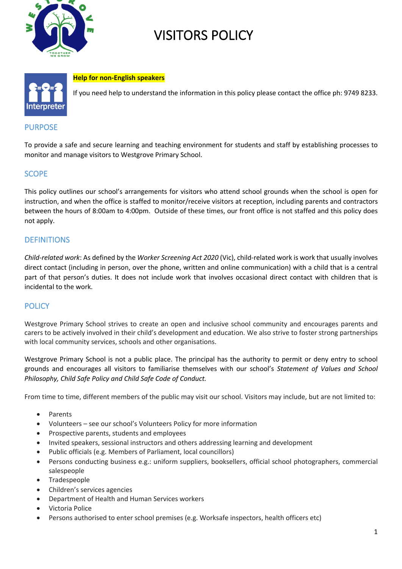

# VISITORS POLICY



#### **Help for non-English speakers**

If you need help to understand the information in this policy please contact the office ph: 9749 8233.

#### PURPOSE

To provide a safe and secure learning and teaching environment for students and staff by establishing processes to monitor and manage visitors to Westgrove Primary School.

# **SCOPE**

This policy outlines our school's arrangements for visitors who attend school grounds when the school is open for instruction, and when the office is staffed to monitor/receive visitors at reception, including parents and contractors between the hours of 8:00am to 4:00pm. Outside of these times, our front office is not staffed and this policy does not apply.

# **DEFINITIONS**

*Child-related work*: As defined by the *Worker Screening Act 2020* (Vic), child-related work is work that usually involves direct contact (including in person, over the phone, written and online communication) with a child that is a central part of that person's duties. It does not include work that involves occasional direct contact with children that is incidental to the work.

#### **POLICY**

Westgrove Primary School strives to create an open and inclusive school community and encourages parents and carers to be actively involved in their child's development and education. We also strive to foster strong partnerships with local community services, schools and other organisations.

Westgrove Primary School is not a public place. The principal has the authority to permit or deny entry to school grounds and encourages all visitors to familiarise themselves with our school's *Statement of Values and School Philosophy, Child Safe Policy and Child Safe Code of Conduct.* 

From time to time, different members of the public may visit our school. Visitors may include, but are not limited to:

- Parents
- Volunteers see our school's Volunteers Policy for more information
- Prospective parents, students and employees
- Invited speakers, sessional instructors and others addressing learning and development
- Public officials (e.g. Members of Parliament, local councillors)
- Persons conducting business e.g.: uniform suppliers, booksellers, official school photographers, commercial salespeople
- Tradespeople
- Children's services agencies
- Department of Health and Human Services workers
- Victoria Police
- Persons authorised to enter school premises (e.g. Worksafe inspectors, health officers etc)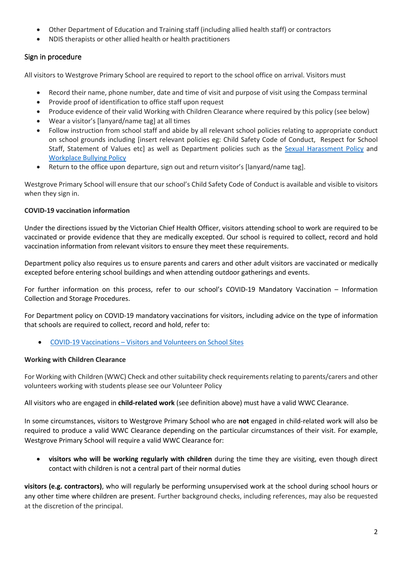- Other Department of Education and Training staff (including allied health staff) or contractors
- NDIS therapists or other allied health or health practitioners

# Sign in procedure

All visitors to Westgrove Primary School are required to report to the school office on arrival. Visitors must

- Record their name, phone number, date and time of visit and purpose of visit using the Compass terminal
- Provide proof of identification to office staff upon request
- Produce evidence of their valid Working with Children Clearance where required by this policy (see below)
- Wear a visitor's [lanyard/name tag] at all times
- Follow instruction from school staff and abide by all relevant school policies relating to appropriate conduct on school grounds including [insert relevant policies eg: Child Safety Code of Conduct, Respect for School Staff, Statement of Values etc] as well as Department policies such as the Sexual Harassment Policy and Workplace Bullying Policy
- Return to the office upon departure, sign out and return visitor's [lanyard/name tag].

Westgrove Primary School will ensure that our school's Child Safety Code of Conduct is available and visible to visitors when they sign in.

## **COVID-19 vaccination information**

Under the directions issued by the Victorian Chief Health Officer, visitors attending school to work are required to be vaccinated or provide evidence that they are medically excepted. Our school is required to collect, record and hold vaccination information from relevant visitors to ensure they meet these requirements.

Department policy also requires us to ensure parents and carers and other adult visitors are vaccinated or medically excepted before entering school buildings and when attending outdoor gatherings and events.

For further information on this process, refer to our school's COVID-19 Mandatory Vaccination – Information Collection and Storage Procedures.

For Department policy on COVID-19 mandatory vaccinations for visitors, including advice on the type of information that schools are required to collect, record and hold, refer to:

• COVID-19 Vaccinations – Visitors and Volunteers on School Sites

#### **Working with Children Clearance**

For Working with Children (WWC) Check and other suitability check requirements relating to parents/carers and other volunteers working with students please see our Volunteer Policy

All visitors who are engaged in **child-related work** (see definition above) must have a valid WWC Clearance.

In some circumstances, visitors to Westgrove Primary School who are **not** engaged in child-related work will also be required to produce a valid WWC Clearance depending on the particular circumstances of their visit. For example, Westgrove Primary School will require a valid WWC Clearance for:

• **visitors who will be working regularly with children** during the time they are visiting, even though direct contact with children is not a central part of their normal duties

**visitors (e.g. contractors)**, who will regularly be performing unsupervised work at the school during school hours or any other time where children are present. Further background checks, including references, may also be requested at the discretion of the principal.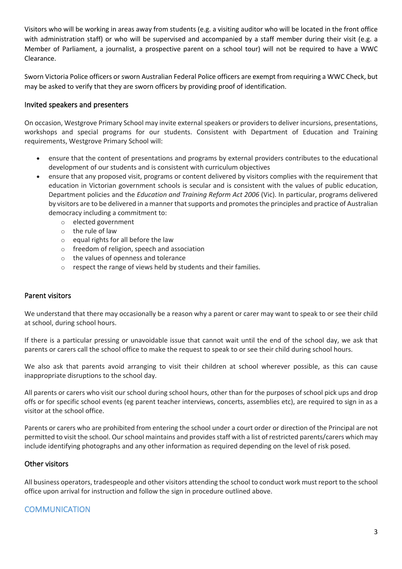Visitors who will be working in areas away from students (e.g. a visiting auditor who will be located in the front office with administration staff) or who will be supervised and accompanied by a staff member during their visit (e.g. a Member of Parliament, a journalist, a prospective parent on a school tour) will not be required to have a WWC Clearance.

Sworn Victoria Police officers or sworn Australian Federal Police officers are exempt from requiring a WWC Check, but may be asked to verify that they are sworn officers by providing proof of identification.

## Invited speakers and presenters

On occasion, Westgrove Primary School may invite external speakers or providers to deliver incursions, presentations, workshops and special programs for our students. Consistent with Department of Education and Training requirements, Westgrove Primary School will:

- ensure that the content of presentations and programs by external providers contributes to the educational development of our students and is consistent with curriculum objectives
- ensure that any proposed visit, programs or content delivered by visitors complies with the requirement that education in Victorian government schools is secular and is consistent with the values of public education, Department policies and the *Education and Training Reform Act 2006* (Vic). In particular, programs delivered by visitors are to be delivered in a manner that supports and promotes the principles and practice of Australian democracy including a commitment to:
	- o elected government
	- o the rule of law
	- o equal rights for all before the law
	- o freedom of religion, speech and association
	- o the values of openness and tolerance
	- o respect the range of views held by students and their families.

## Parent visitors

We understand that there may occasionally be a reason why a parent or carer may want to speak to or see their child at school, during school hours.

If there is a particular pressing or unavoidable issue that cannot wait until the end of the school day, we ask that parents or carers call the school office to make the request to speak to or see their child during school hours.

We also ask that parents avoid arranging to visit their children at school wherever possible, as this can cause inappropriate disruptions to the school day.

All parents or carers who visit our school during school hours, other than for the purposes of school pick ups and drop offs or for specific school events (eg parent teacher interviews, concerts, assemblies etc), are required to sign in as a visitor at the school office.

Parents or carers who are prohibited from entering the school under a court order or direction of the Principal are not permitted to visit the school. Our school maintains and provides staff with a list of restricted parents/carers which may include identifying photographs and any other information as required depending on the level of risk posed.

#### Other visitors

All business operators, tradespeople and other visitors attending the school to conduct work must report to the school office upon arrival for instruction and follow the sign in procedure outlined above.

# **COMMUNICATION**